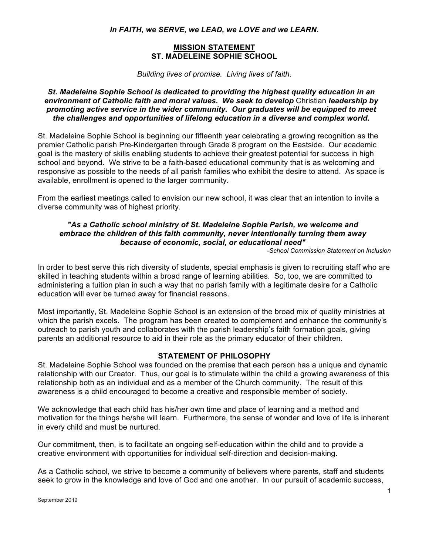*In FAITH, we SERVE, we LEAD, we LOVE and we LEARN.*

### **MISSION STATEMENT ST. MADELEINE SOPHIE SCHOOL**

*Building lives of promise. Living lives of faith.* 

*St. Madeleine Sophie School is dedicated to providing the highest quality education in an environment of Catholic faith and moral values. We seek to develop* Christian *leadership by promoting active service in the wider community. Our graduates will be equipped to meet the challenges and opportunities of lifelong education in a diverse and complex world.*

St. Madeleine Sophie School is beginning our fifteenth year celebrating a growing recognition as the premier Catholic parish Pre-Kindergarten through Grade 8 program on the Eastside. Our academic goal is the mastery of skills enabling students to achieve their greatest potential for success in high school and beyond. We strive to be a faith-based educational community that is as welcoming and responsive as possible to the needs of all parish families who exhibit the desire to attend. As space is available, enrollment is opened to the larger community.

From the earliest meetings called to envision our new school, it was clear that an intention to invite a diverse community was of highest priority.

## *"As a Catholic school ministry of St. Madeleine Sophie Parish, we welcome and embrace the children of this faith community, never intentionally turning them away because of economic, social, or educational need"*

*-School Commission Statement on Inclusion*

In order to best serve this rich diversity of students, special emphasis is given to recruiting staff who are skilled in teaching students within a broad range of learning abilities. So, too, we are committed to administering a tuition plan in such a way that no parish family with a legitimate desire for a Catholic education will ever be turned away for financial reasons.

Most importantly, St. Madeleine Sophie School is an extension of the broad mix of quality ministries at which the parish excels. The program has been created to complement and enhance the community's outreach to parish youth and collaborates with the parish leadership's faith formation goals, giving parents an additional resource to aid in their role as the primary educator of their children.

## **STATEMENT OF PHILOSOPHY**

St. Madeleine Sophie School was founded on the premise that each person has a unique and dynamic relationship with our Creator. Thus, our goal is to stimulate within the child a growing awareness of this relationship both as an individual and as a member of the Church community. The result of this awareness is a child encouraged to become a creative and responsible member of society.

We acknowledge that each child has his/her own time and place of learning and a method and motivation for the things he/she will learn. Furthermore, the sense of wonder and love of life is inherent in every child and must be nurtured.

Our commitment, then, is to facilitate an ongoing self-education within the child and to provide a creative environment with opportunities for individual self-direction and decision-making.

As a Catholic school, we strive to become a community of believers where parents, staff and students seek to grow in the knowledge and love of God and one another. In our pursuit of academic success,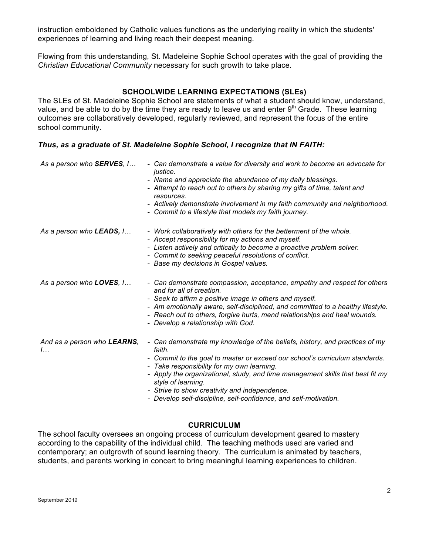instruction emboldened by Catholic values functions as the underlying reality in which the students' experiences of learning and living reach their deepest meaning.

Flowing from this understanding, St. Madeleine Sophie School operates with the goal of providing the *Christian Educational Community* necessary for such growth to take place.

#### **SCHOOLWIDE LEARNING EXPECTATIONS (SLEs)**

The SLEs of St. Madeleine Sophie School are statements of what a student should know, understand, value, and be able to do by the time they are ready to leave us and enter  $9<sup>th</sup>$  Grade. These learning outcomes are collaboratively developed, regularly reviewed, and represent the focus of the entire school community.

#### *Thus, as a graduate of St. Madeleine Sophie School, I recognize that IN FAITH:*

| As a person who <b>SERVES</b> , I        | - Can demonstrate a value for diversity and work to become an advocate for<br>justice.<br>- Name and appreciate the abundance of my daily blessings.<br>- Attempt to reach out to others by sharing my gifts of time, talent and<br>resources.<br>- Actively demonstrate involvement in my faith community and neighborhood.<br>- Commit to a lifestyle that models my faith journey.                                                           |
|------------------------------------------|-------------------------------------------------------------------------------------------------------------------------------------------------------------------------------------------------------------------------------------------------------------------------------------------------------------------------------------------------------------------------------------------------------------------------------------------------|
| As a person who <b>LEADS</b> , I         | - Work collaboratively with others for the betterment of the whole.<br>- Accept responsibility for my actions and myself.<br>- Listen actively and critically to become a proactive problem solver.<br>- Commit to seeking peaceful resolutions of conflict.<br>- Base my decisions in Gospel values.                                                                                                                                           |
| As a person who <b>LOVES</b> , I         | - Can demonstrate compassion, acceptance, empathy and respect for others<br>and for all of creation.<br>- Seek to affirm a positive image in others and myself.<br>- Am emotionally aware, self-disciplined, and committed to a healthy lifestyle.<br>- Reach out to others, forgive hurts, mend relationships and heal wounds.<br>- Develop a relationship with God.                                                                           |
| And as a person who <b>LEARNS</b> ,<br>l | - Can demonstrate my knowledge of the beliefs, history, and practices of my<br>faith.<br>- Commit to the goal to master or exceed our school's curriculum standards.<br>- Take responsibility for my own learning.<br>- Apply the organizational, study, and time management skills that best fit my<br>style of learning.<br>- Strive to show creativity and independence.<br>- Develop self-discipline, self-confidence, and self-motivation. |

#### **CURRICULUM**

The school faculty oversees an ongoing process of curriculum development geared to mastery according to the capability of the individual child. The teaching methods used are varied and contemporary; an outgrowth of sound learning theory. The curriculum is animated by teachers, students, and parents working in concert to bring meaningful learning experiences to children.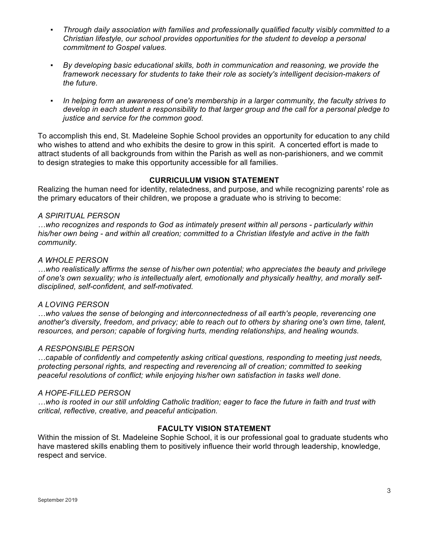- *Through daily association with families and professionally qualified faculty visibly committed to a Christian lifestyle, our school provides opportunities for the student to develop a personal commitment to Gospel values.*
- By developing basic educational skills, both in communication and reasoning, we provide the *framework necessary for students to take their role as society's intelligent decision-makers of the future.*
- In helping form an awareness of one's membership in a larger community, the faculty strives to *develop in each student a responsibility to that larger group and the call for a personal pledge to justice and service for the common good.*

To accomplish this end, St. Madeleine Sophie School provides an opportunity for education to any child who wishes to attend and who exhibits the desire to grow in this spirit. A concerted effort is made to attract students of all backgrounds from within the Parish as well as non-parishioners, and we commit to design strategies to make this opportunity accessible for all families.

### **CURRICULUM VISION STATEMENT**

Realizing the human need for identity, relatedness, and purpose, and while recognizing parents' role as the primary educators of their children, we propose a graduate who is striving to become:

#### *A SPIRITUAL PERSON*

*…who recognizes and responds to God as intimately present within all persons - particularly within his/her own being - and within all creation; committed to a Christian lifestyle and active in the faith community.*

#### *A WHOLE PERSON*

*…who realistically affirms the sense of his/her own potential; who appreciates the beauty and privilege of one's own sexuality; who is intellectually alert, emotionally and physically healthy, and morally selfdisciplined, self-confident, and self-motivated.*

#### *A LOVING PERSON*

*…who values the sense of belonging and interconnectedness of all earth's people, reverencing one another's diversity, freedom, and privacy; able to reach out to others by sharing one's own time, talent, resources, and person; capable of forgiving hurts, mending relationships, and healing wounds.*

#### *A RESPONSIBLE PERSON*

*…capable of confidently and competently asking critical questions, responding to meeting just needs, protecting personal rights, and respecting and reverencing all of creation; committed to seeking peaceful resolutions of conflict; while enjoying his/her own satisfaction in tasks well done.*

#### *A HOPE-FILLED PERSON*

*…who is rooted in our still unfolding Catholic tradition; eager to face the future in faith and trust with critical, reflective, creative, and peaceful anticipation.*

### **FACULTY VISION STATEMENT**

Within the mission of St. Madeleine Sophie School, it is our professional goal to graduate students who have mastered skills enabling them to positively influence their world through leadership, knowledge, respect and service.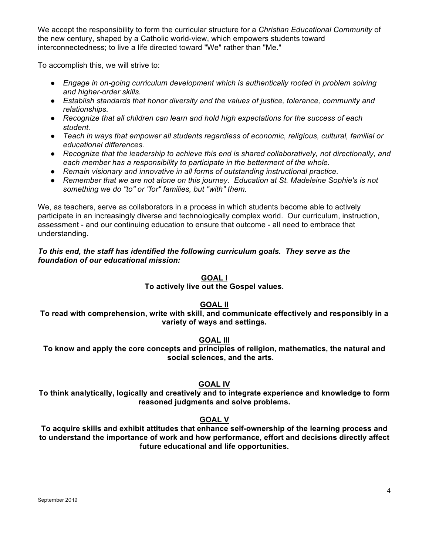We accept the responsibility to form the curricular structure for a *Christian Educational Community* of the new century, shaped by a Catholic world-view, which empowers students toward interconnectedness; to live a life directed toward "We" rather than "Me."

To accomplish this, we will strive to:

- *Engage in on-going curriculum development which is authentically rooted in problem solving and higher-order skills.*
- *Establish standards that honor diversity and the values of justice, tolerance, community and relationships.*
- *Recognize that all children can learn and hold high expectations for the success of each student.*
- *Teach in ways that empower all students regardless of economic, religious, cultural, familial or educational differences.*
- *Recognize that the leadership to achieve this end is shared collaboratively, not directionally, and each member has a responsibility to participate in the betterment of the whole.*
- *Remain visionary and innovative in all forms of outstanding instructional practice.*
- *Remember that we are not alone on this journey. Education at St. Madeleine Sophie's is not something we do "to" or "for" families, but "with" them.*

We, as teachers, serve as collaborators in a process in which students become able to actively participate in an increasingly diverse and technologically complex world. Our curriculum, instruction, assessment - and our continuing education to ensure that outcome - all need to embrace that understanding.

## *To this end, the staff has identified the following curriculum goals. They serve as the foundation of our educational mission:*

**GOAL I**

**To actively live out the Gospel values.**

## **GOAL II**

**To read with comprehension, write with skill, and communicate effectively and responsibly in a variety of ways and settings.**

## **GOAL III**

**To know and apply the core concepts and principles of religion, mathematics, the natural and social sciences, and the arts.**

## **GOAL IV**

**To think analytically, logically and creatively and to integrate experience and knowledge to form reasoned judgments and solve problems.**

# **GOAL V**

**To acquire skills and exhibit attitudes that enhance self-ownership of the learning process and to understand the importance of work and how performance, effort and decisions directly affect future educational and life opportunities.**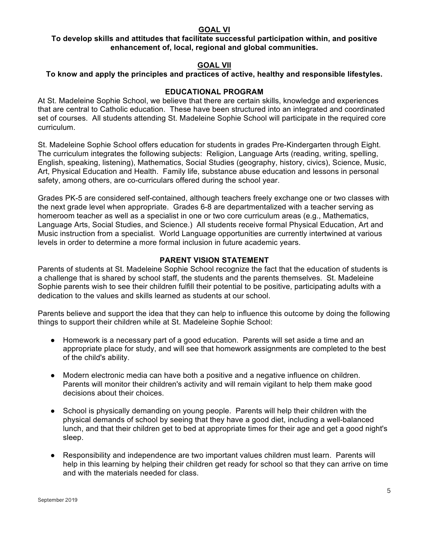### **GOAL VI**

## **To develop skills and attitudes that facilitate successful participation within, and positive enhancement of, local, regional and global communities.**

## **GOAL VII**

## **To know and apply the principles and practices of active, healthy and responsible lifestyles.**

### **EDUCATIONAL PROGRAM**

At St. Madeleine Sophie School, we believe that there are certain skills, knowledge and experiences that are central to Catholic education. These have been structured into an integrated and coordinated set of courses. All students attending St. Madeleine Sophie School will participate in the required core curriculum.

St. Madeleine Sophie School offers education for students in grades Pre-Kindergarten through Eight. The curriculum integrates the following subjects: Religion, Language Arts (reading, writing, spelling, English, speaking, listening), Mathematics, Social Studies (geography, history, civics), Science, Music, Art, Physical Education and Health. Family life, substance abuse education and lessons in personal safety, among others, are co-curriculars offered during the school year.

Grades PK-5 are considered self-contained, although teachers freely exchange one or two classes with the next grade level when appropriate. Grades 6-8 are departmentalized with a teacher serving as homeroom teacher as well as a specialist in one or two core curriculum areas (e.g., Mathematics, Language Arts, Social Studies, and Science.) All students receive formal Physical Education, Art and Music instruction from a specialist. World Language opportunities are currently intertwined at various levels in order to determine a more formal inclusion in future academic years.

### **PARENT VISION STATEMENT**

Parents of students at St. Madeleine Sophie School recognize the fact that the education of students is a challenge that is shared by school staff, the students and the parents themselves. St. Madeleine Sophie parents wish to see their children fulfill their potential to be positive, participating adults with a dedication to the values and skills learned as students at our school.

Parents believe and support the idea that they can help to influence this outcome by doing the following things to support their children while at St. Madeleine Sophie School:

- Homework is a necessary part of a good education. Parents will set aside a time and an appropriate place for study, and will see that homework assignments are completed to the best of the child's ability.
- Modern electronic media can have both a positive and a negative influence on children. Parents will monitor their children's activity and will remain vigilant to help them make good decisions about their choices.
- School is physically demanding on young people. Parents will help their children with the physical demands of school by seeing that they have a good diet, including a well-balanced lunch, and that their children get to bed at appropriate times for their age and get a good night's sleep.
- Responsibility and independence are two important values children must learn. Parents will help in this learning by helping their children get ready for school so that they can arrive on time and with the materials needed for class.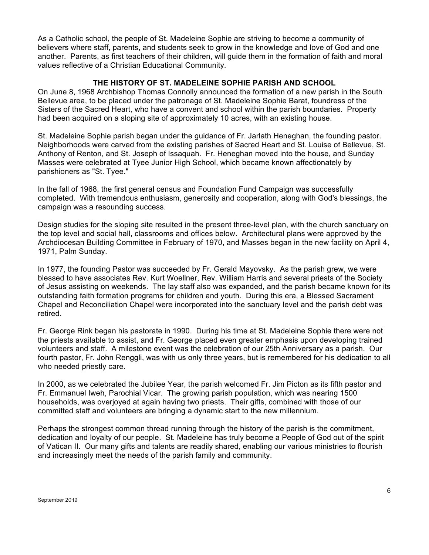As a Catholic school, the people of St. Madeleine Sophie are striving to become a community of believers where staff, parents, and students seek to grow in the knowledge and love of God and one another. Parents, as first teachers of their children, will guide them in the formation of faith and moral values reflective of a Christian Educational Community.

#### **THE HISTORY OF ST. MADELEINE SOPHIE PARISH AND SCHOOL**

On June 8, 1968 Archbishop Thomas Connolly announced the formation of a new parish in the South Bellevue area, to be placed under the patronage of St. Madeleine Sophie Barat, foundress of the Sisters of the Sacred Heart, who have a convent and school within the parish boundaries. Property had been acquired on a sloping site of approximately 10 acres, with an existing house.

St. Madeleine Sophie parish began under the guidance of Fr. Jarlath Heneghan, the founding pastor. Neighborhoods were carved from the existing parishes of Sacred Heart and St. Louise of Bellevue, St. Anthony of Renton, and St. Joseph of Issaquah. Fr. Heneghan moved into the house, and Sunday Masses were celebrated at Tyee Junior High School, which became known affectionately by parishioners as "St. Tyee."

In the fall of 1968, the first general census and Foundation Fund Campaign was successfully completed. With tremendous enthusiasm, generosity and cooperation, along with God's blessings, the campaign was a resounding success.

Design studies for the sloping site resulted in the present three-level plan, with the church sanctuary on the top level and social hall, classrooms and offices below. Architectural plans were approved by the Archdiocesan Building Committee in February of 1970, and Masses began in the new facility on April 4, 1971, Palm Sunday.

In 1977, the founding Pastor was succeeded by Fr. Gerald Mayovsky. As the parish grew, we were blessed to have associates Rev. Kurt Woellner, Rev. William Harris and several priests of the Society of Jesus assisting on weekends. The lay staff also was expanded, and the parish became known for its outstanding faith formation programs for children and youth. During this era, a Blessed Sacrament Chapel and Reconciliation Chapel were incorporated into the sanctuary level and the parish debt was retired.

Fr. George Rink began his pastorate in 1990. During his time at St. Madeleine Sophie there were not the priests available to assist, and Fr. George placed even greater emphasis upon developing trained volunteers and staff. A milestone event was the celebration of our 25th Anniversary as a parish. Our fourth pastor, Fr. John Renggli, was with us only three years, but is remembered for his dedication to all who needed priestly care.

In 2000, as we celebrated the Jubilee Year, the parish welcomed Fr. Jim Picton as its fifth pastor and Fr. Emmanuel Iweh, Parochial Vicar. The growing parish population, which was nearing 1500 households, was overjoyed at again having two priests. Their gifts, combined with those of our committed staff and volunteers are bringing a dynamic start to the new millennium.

Perhaps the strongest common thread running through the history of the parish is the commitment, dedication and loyalty of our people. St. Madeleine has truly become a People of God out of the spirit of Vatican II. Our many gifts and talents are readily shared, enabling our various ministries to flourish and increasingly meet the needs of the parish family and community.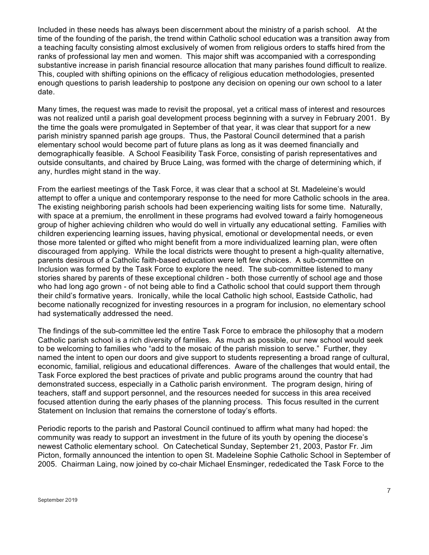Included in these needs has always been discernment about the ministry of a parish school. At the time of the founding of the parish, the trend within Catholic school education was a transition away from a teaching faculty consisting almost exclusively of women from religious orders to staffs hired from the ranks of professional lay men and women. This major shift was accompanied with a corresponding substantive increase in parish financial resource allocation that many parishes found difficult to realize. This, coupled with shifting opinions on the efficacy of religious education methodologies, presented enough questions to parish leadership to postpone any decision on opening our own school to a later date.

Many times, the request was made to revisit the proposal, yet a critical mass of interest and resources was not realized until a parish goal development process beginning with a survey in February 2001. By the time the goals were promulgated in September of that year, it was clear that support for a new parish ministry spanned parish age groups. Thus, the Pastoral Council determined that a parish elementary school would become part of future plans as long as it was deemed financially and demographically feasible. A School Feasibility Task Force, consisting of parish representatives and outside consultants, and chaired by Bruce Laing, was formed with the charge of determining which, if any, hurdles might stand in the way.

From the earliest meetings of the Task Force, it was clear that a school at St. Madeleine's would attempt to offer a unique and contemporary response to the need for more Catholic schools in the area. The existing neighboring parish schools had been experiencing waiting lists for some time. Naturally, with space at a premium, the enrollment in these programs had evolved toward a fairly homogeneous group of higher achieving children who would do well in virtually any educational setting. Families with children experiencing learning issues, having physical, emotional or developmental needs, or even those more talented or gifted who might benefit from a more individualized learning plan, were often discouraged from applying. While the local districts were thought to present a high-quality alternative, parents desirous of a Catholic faith-based education were left few choices. A sub-committee on Inclusion was formed by the Task Force to explore the need. The sub-committee listened to many stories shared by parents of these exceptional children - both those currently of school age and those who had long ago grown - of not being able to find a Catholic school that could support them through their child's formative years. Ironically, while the local Catholic high school, Eastside Catholic, had become nationally recognized for investing resources in a program for inclusion, no elementary school had systematically addressed the need.

The findings of the sub-committee led the entire Task Force to embrace the philosophy that a modern Catholic parish school is a rich diversity of families. As much as possible, our new school would seek to be welcoming to families who "add to the mosaic of the parish mission to serve." Further, they named the intent to open our doors and give support to students representing a broad range of cultural, economic, familial, religious and educational differences. Aware of the challenges that would entail, the Task Force explored the best practices of private and public programs around the country that had demonstrated success, especially in a Catholic parish environment. The program design, hiring of teachers, staff and support personnel, and the resources needed for success in this area received focused attention during the early phases of the planning process. This focus resulted in the current Statement on Inclusion that remains the cornerstone of today's efforts.

Periodic reports to the parish and Pastoral Council continued to affirm what many had hoped: the community was ready to support an investment in the future of its youth by opening the diocese's newest Catholic elementary school. On Catechetical Sunday, September 21, 2003, Pastor Fr. Jim Picton, formally announced the intention to open St. Madeleine Sophie Catholic School in September of 2005. Chairman Laing, now joined by co-chair Michael Ensminger, rededicated the Task Force to the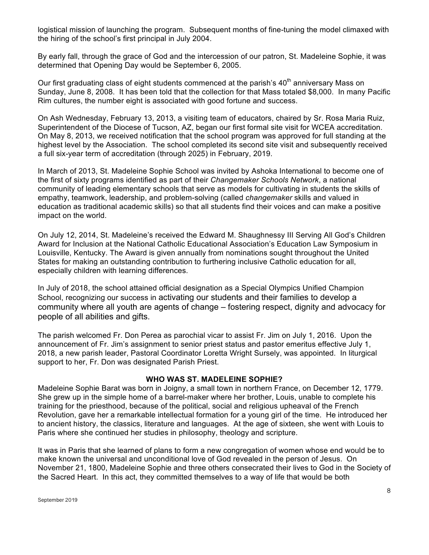logistical mission of launching the program. Subsequent months of fine-tuning the model climaxed with the hiring of the school's first principal in July 2004.

By early fall, through the grace of God and the intercession of our patron, St. Madeleine Sophie, it was determined that Opening Day would be September 6, 2005.

Our first graduating class of eight students commenced at the parish's  $40<sup>th</sup>$  anniversary Mass on Sunday, June 8, 2008. It has been told that the collection for that Mass totaled \$8,000. In many Pacific Rim cultures, the number eight is associated with good fortune and success.

On Ash Wednesday, February 13, 2013, a visiting team of educators, chaired by Sr. Rosa Maria Ruiz, Superintendent of the Diocese of Tucson, AZ, began our first formal site visit for WCEA accreditation. On May 8, 2013, we received notification that the school program was approved for full standing at the highest level by the Association. The school completed its second site visit and subsequently received a full six-year term of accreditation (through 2025) in February, 2019.

In March of 2013, St. Madeleine Sophie School was invited by Ashoka International to become one of the first of sixty programs identified as part of their *Changemaker Schools Network*, a national community of leading elementary schools that serve as models for cultivating in students the skills of empathy, teamwork, leadership, and problem-solving (called *changemaker* skills and valued in education as traditional academic skills) so that all students find their voices and can make a positive impact on the world.

On July 12, 2014, St. Madeleine's received the Edward M. Shaughnessy III Serving All God's Children Award for Inclusion at the National Catholic Educational Association's Education Law Symposium in Louisville, Kentucky. The Award is given annually from nominations sought throughout the United States for making an outstanding contribution to furthering inclusive Catholic education for all, especially children with learning differences.

In July of 2018, the school attained official designation as a Special Olympics Unified Champion School, recognizing our success in activating our students and their families to develop a community where all youth are agents of change – fostering respect, dignity and advocacy for people of all abilities and gifts.

The parish welcomed Fr. Don Perea as parochial vicar to assist Fr. Jim on July 1, 2016. Upon the announcement of Fr. Jim's assignment to senior priest status and pastor emeritus effective July 1, 2018, a new parish leader, Pastoral Coordinator Loretta Wright Sursely, was appointed. In liturgical support to her, Fr. Don was designated Parish Priest.

### **WHO WAS ST. MADELEINE SOPHIE?**

Madeleine Sophie Barat was born in Joigny, a small town in northern France, on December 12, 1779. She grew up in the simple home of a barrel-maker where her brother, Louis, unable to complete his training for the priesthood, because of the political, social and religious upheaval of the French Revolution, gave her a remarkable intellectual formation for a young girl of the time. He introduced her to ancient history, the classics, literature and languages. At the age of sixteen, she went with Louis to Paris where she continued her studies in philosophy, theology and scripture.

It was in Paris that she learned of plans to form a new congregation of women whose end would be to make known the universal and unconditional love of God revealed in the person of Jesus. On November 21, 1800, Madeleine Sophie and three others consecrated their lives to God in the Society of the Sacred Heart. In this act, they committed themselves to a way of life that would be both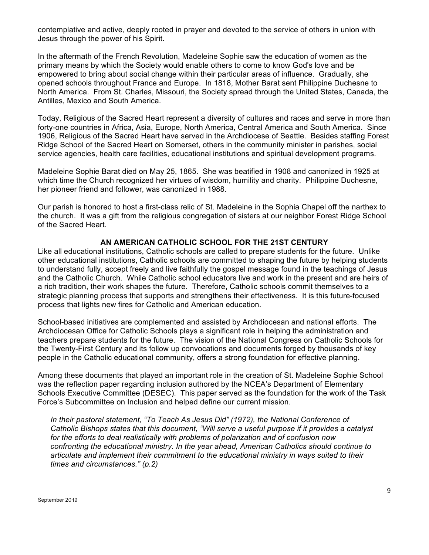contemplative and active, deeply rooted in prayer and devoted to the service of others in union with Jesus through the power of his Spirit.

In the aftermath of the French Revolution, Madeleine Sophie saw the education of women as the primary means by which the Society would enable others to come to know God's love and be empowered to bring about social change within their particular areas of influence. Gradually, she opened schools throughout France and Europe. In 1818, Mother Barat sent Philippine Duchesne to North America. From St. Charles, Missouri, the Society spread through the United States, Canada, the Antilles, Mexico and South America.

Today, Religious of the Sacred Heart represent a diversity of cultures and races and serve in more than forty-one countries in Africa, Asia, Europe, North America, Central America and South America. Since 1906, Religious of the Sacred Heart have served in the Archdiocese of Seattle. Besides staffing Forest Ridge School of the Sacred Heart on Somerset, others in the community minister in parishes, social service agencies, health care facilities, educational institutions and spiritual development programs.

Madeleine Sophie Barat died on May 25, 1865. She was beatified in 1908 and canonized in 1925 at which time the Church recognized her virtues of wisdom, humility and charity. Philippine Duchesne, her pioneer friend and follower, was canonized in 1988.

Our parish is honored to host a first-class relic of St. Madeleine in the Sophia Chapel off the narthex to the church. It was a gift from the religious congregation of sisters at our neighbor Forest Ridge School of the Sacred Heart.

### **AN AMERICAN CATHOLIC SCHOOL FOR THE 21ST CENTURY**

Like all educational institutions, Catholic schools are called to prepare students for the future. Unlike other educational institutions, Catholic schools are committed to shaping the future by helping students to understand fully, accept freely and live faithfully the gospel message found in the teachings of Jesus and the Catholic Church. While Catholic school educators live and work in the present and are heirs of a rich tradition, their work shapes the future. Therefore, Catholic schools commit themselves to a strategic planning process that supports and strengthens their effectiveness. It is this future-focused process that lights new fires for Catholic and American education.

School-based initiatives are complemented and assisted by Archdiocesan and national efforts. The Archdiocesan Office for Catholic Schools plays a significant role in helping the administration and teachers prepare students for the future. The vision of the National Congress on Catholic Schools for the Twenty-First Century and its follow up convocations and documents forged by thousands of key people in the Catholic educational community, offers a strong foundation for effective planning.

Among these documents that played an important role in the creation of St. Madeleine Sophie School was the reflection paper regarding inclusion authored by the NCEA's Department of Elementary Schools Executive Committee (DESEC). This paper served as the foundation for the work of the Task Force's Subcommittee on Inclusion and helped define our current mission.

*In their pastoral statement, "To Teach As Jesus Did" (1972), the National Conference of Catholic Bishops states that this document, "Will serve a useful purpose if it provides a catalyst for the efforts to deal realistically with problems of polarization and of confusion now confronting the educational ministry. In the year ahead, American Catholics should continue to articulate and implement their commitment to the educational ministry in ways suited to their times and circumstances." (p.2)*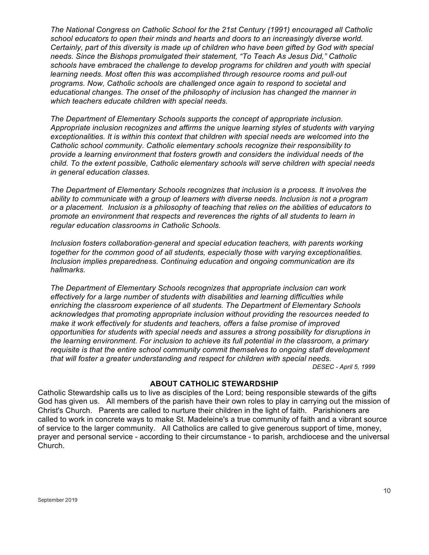*The National Congress on Catholic School for the 21st Century (1991) encouraged all Catholic school educators to open their minds and hearts and doors to an increasingly diverse world. Certainly, part of this diversity is made up of children who have been gifted by God with special needs. Since the Bishops promulgated their statement, "To Teach As Jesus Did," Catholic schools have embraced the challenge to develop programs for children and youth with special learning needs. Most often this was accomplished through resource rooms and pull-out programs. Now, Catholic schools are challenged once again to respond to societal and educational changes. The onset of the philosophy of inclusion has changed the manner in which teachers educate children with special needs.*

*The Department of Elementary Schools supports the concept of appropriate inclusion. Appropriate inclusion recognizes and affirms the unique learning styles of students with varying exceptionalities. It is within this context that children with special needs are welcomed into the Catholic school community. Catholic elementary schools recognize their responsibility to provide a learning environment that fosters growth and considers the individual needs of the child. To the extent possible, Catholic elementary schools will serve children with special needs in general education classes.*

*The Department of Elementary Schools recognizes that inclusion is a process. It involves the ability to communicate with a group of learners with diverse needs. Inclusion is not a program or a placement. Inclusion is a philosophy of teaching that relies on the abilities of educators to promote an environment that respects and reverences the rights of all students to learn in regular education classrooms in Catholic Schools.*

*Inclusion fosters collaboration-general and special education teachers, with parents working together for the common good of all students, especially those with varying exceptionalities. Inclusion implies preparedness. Continuing education and ongoing communication are its hallmarks.*

*The Department of Elementary Schools recognizes that appropriate inclusion can work effectively for a large number of students with disabilities and learning difficulties while enriching the classroom experience of all students. The Department of Elementary Schools acknowledges that promoting appropriate inclusion without providing the resources needed to make it work effectively for students and teachers, offers a false promise of improved opportunities for students with special needs and assures a strong possibility for disruptions in the learning environment. For inclusion to achieve its full potential in the classroom, a primary requisite is that the entire school community commit themselves to ongoing staff development that will foster a greater understanding and respect for children with special needs. DESEC - April 5, 1999*

### **ABOUT CATHOLIC STEWARDSHIP**

Catholic Stewardship calls us to live as disciples of the Lord; being responsible stewards of the gifts God has given us. All members of the parish have their own roles to play in carrying out the mission of Christ's Church. Parents are called to nurture their children in the light of faith. Parishioners are called to work in concrete ways to make St. Madeleine's a true community of faith and a vibrant source of service to the larger community. All Catholics are called to give generous support of time, money, prayer and personal service - according to their circumstance - to parish, archdiocese and the universal Church.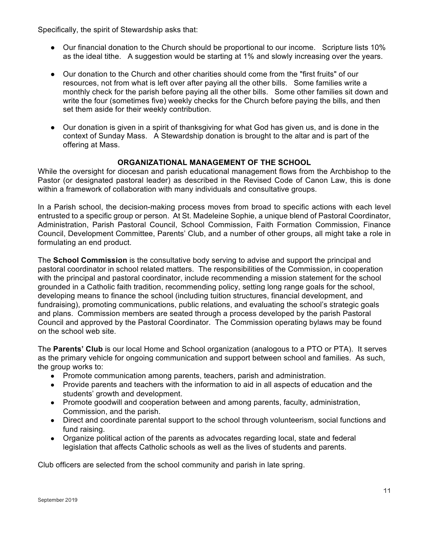Specifically, the spirit of Stewardship asks that:

- Our financial donation to the Church should be proportional to our income. Scripture lists 10% as the ideal tithe. A suggestion would be starting at 1% and slowly increasing over the years.
- Our donation to the Church and other charities should come from the "first fruits" of our resources, not from what is left over after paying all the other bills. Some families write a monthly check for the parish before paying all the other bills. Some other families sit down and write the four (sometimes five) weekly checks for the Church before paying the bills, and then set them aside for their weekly contribution.
- Our donation is given in a spirit of thanksgiving for what God has given us, and is done in the context of Sunday Mass. A Stewardship donation is brought to the altar and is part of the offering at Mass.

### **ORGANIZATIONAL MANAGEMENT OF THE SCHOOL**

While the oversight for diocesan and parish educational management flows from the Archbishop to the Pastor (or designated pastoral leader) as described in the Revised Code of Canon Law, this is done within a framework of collaboration with many individuals and consultative groups.

In a Parish school, the decision-making process moves from broad to specific actions with each level entrusted to a specific group or person. At St. Madeleine Sophie, a unique blend of Pastoral Coordinator, Administration, Parish Pastoral Council, School Commission, Faith Formation Commission, Finance Council, Development Committee, Parents' Club, and a number of other groups, all might take a role in formulating an end product.

The **School Commission** is the consultative body serving to advise and support the principal and pastoral coordinator in school related matters. The responsibilities of the Commission, in cooperation with the principal and pastoral coordinator, include recommending a mission statement for the school grounded in a Catholic faith tradition, recommending policy, setting long range goals for the school, developing means to finance the school (including tuition structures, financial development, and fundraising), promoting communications, public relations, and evaluating the school's strategic goals and plans. Commission members are seated through a process developed by the parish Pastoral Council and approved by the Pastoral Coordinator. The Commission operating bylaws may be found on the school web site.

The **Parents' Club** is our local Home and School organization (analogous to a PTO or PTA). It serves as the primary vehicle for ongoing communication and support between school and families. As such, the group works to:

- Promote communication among parents, teachers, parish and administration.
- Provide parents and teachers with the information to aid in all aspects of education and the students' growth and development.
- Promote goodwill and cooperation between and among parents, faculty, administration, Commission, and the parish.
- Direct and coordinate parental support to the school through volunteerism, social functions and fund raising.
- Organize political action of the parents as advocates regarding local, state and federal legislation that affects Catholic schools as well as the lives of students and parents.

Club officers are selected from the school community and parish in late spring.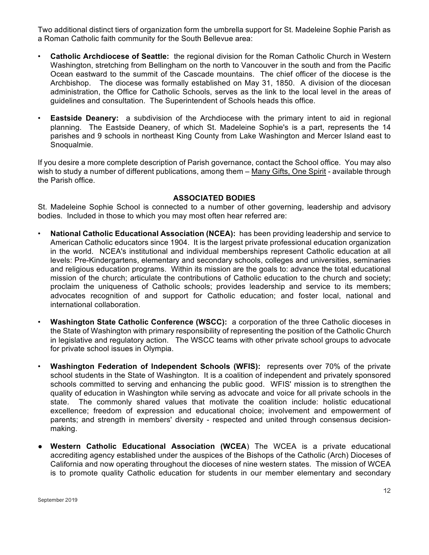Two additional distinct tiers of organization form the umbrella support for St. Madeleine Sophie Parish as a Roman Catholic faith community for the South Bellevue area:

- **Catholic Archdiocese of Seattle:** the regional division for the Roman Catholic Church in Western Washington, stretching from Bellingham on the north to Vancouver in the south and from the Pacific Ocean eastward to the summit of the Cascade mountains. The chief officer of the diocese is the Archbishop. The diocese was formally established on May 31, 1850. A division of the diocesan administration, the Office for Catholic Schools, serves as the link to the local level in the areas of guidelines and consultation. The Superintendent of Schools heads this office.
- **Eastside Deanery:** a subdivision of the Archdiocese with the primary intent to aid in regional planning. The Eastside Deanery, of which St. Madeleine Sophie's is a part, represents the 14 parishes and 9 schools in northeast King County from Lake Washington and Mercer Island east to Snoqualmie.

If you desire a more complete description of Parish governance, contact the School office. You may also wish to study a number of different publications, among them – Many Gifts, One Spirit *-* available through the Parish office.

### **ASSOCIATED BODIES**

St. Madeleine Sophie School is connected to a number of other governing, leadership and advisory bodies. Included in those to which you may most often hear referred are:

- **National Catholic Educational Association (NCEA):** has been providing leadership and service to American Catholic educators since 1904. It is the largest private professional education organization in the world. NCEA's institutional and individual memberships represent Catholic education at all levels: Pre-Kindergartens, elementary and secondary schools, colleges and universities, seminaries and religious education programs. Within its mission are the goals to: advance the total educational mission of the church; articulate the contributions of Catholic education to the church and society; proclaim the uniqueness of Catholic schools; provides leadership and service to its members; advocates recognition of and support for Catholic education; and foster local, national and international collaboration.
- **Washington State Catholic Conference (WSCC):** a corporation of the three Catholic dioceses in the State of Washington with primary responsibility of representing the position of the Catholic Church in legislative and regulatory action. The WSCC teams with other private school groups to advocate for private school issues in Olympia.
- **Washington Federation of Independent Schools (WFIS):** represents over 70% of the private school students in the State of Washington. It is a coalition of independent and privately sponsored schools committed to serving and enhancing the public good. WFIS' mission is to strengthen the quality of education in Washington while serving as advocate and voice for all private schools in the state. The commonly shared values that motivate the coalition include: holistic educational excellence; freedom of expression and educational choice; involvement and empowerment of parents; and strength in members' diversity - respected and united through consensus decisionmaking.
- **Western Catholic Educational Association (WCEA**) The WCEA is a private educational accrediting agency established under the auspices of the Bishops of the Catholic (Arch) Dioceses of California and now operating throughout the dioceses of nine western states. The mission of WCEA is to promote quality Catholic education for students in our member elementary and secondary